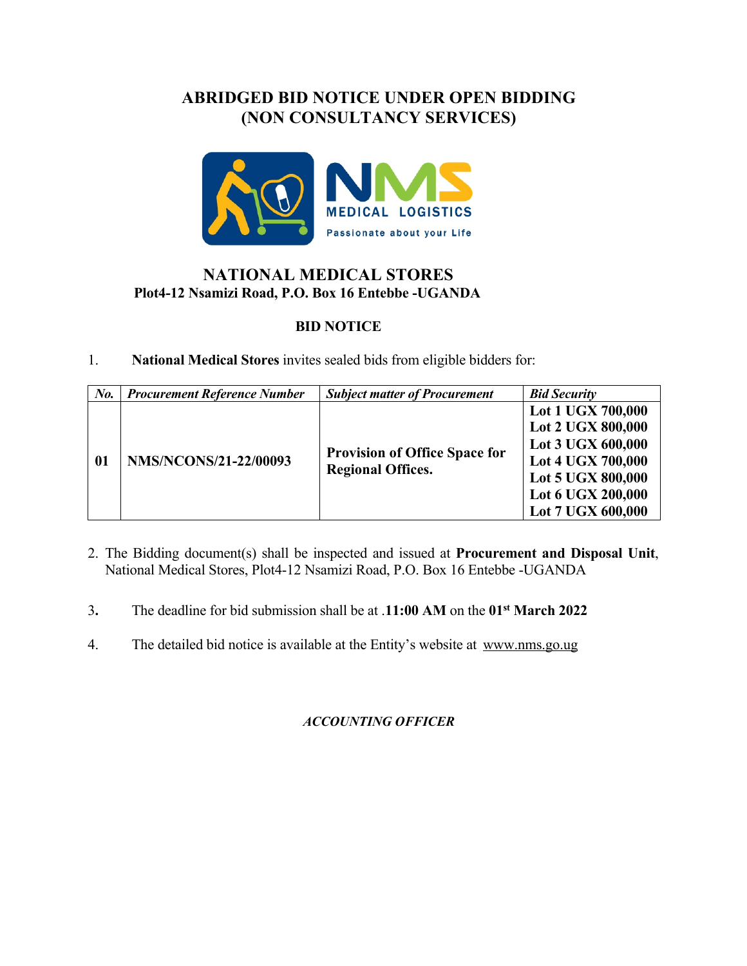# **ABRIDGED BID NOTICE UNDER OPEN BIDDING (NON CONSULTANCY SERVICES)**



### **NATIONAL MEDICAL STORES Plot4-12 Nsamizi Road, P.O. Box 16 Entebbe -UGANDA**

### **BID NOTICE**

1. **National Medical Stores** invites sealed bids from eligible bidders for:

| $N_{0}$ . | <b>Procurement Reference Number</b> | <b>Subject matter of Procurement</b>                             | <b>Bid Security</b>                                                                                                                             |
|-----------|-------------------------------------|------------------------------------------------------------------|-------------------------------------------------------------------------------------------------------------------------------------------------|
| 01        | <b>NMS/NCONS/21-22/00093</b>        | <b>Provision of Office Space for</b><br><b>Regional Offices.</b> | Lot 1 UGX 700,000<br>Lot 2 UGX 800,000<br>Lot 3 UGX 600,000<br>Lot 4 UGX 700,000<br>Lot 5 UGX 800,000<br>Lot 6 UGX 200,000<br>Lot 7 UGX 600,000 |

- 2. The Bidding document(s) shall be inspected and issued at **Procurement and Disposal Unit**, National Medical Stores, Plot4-12 Nsamizi Road, P.O. Box 16 Entebbe -UGANDA
- 3**.** The deadline for bid submission shall be at .**11:00 AM** on the **01st March 2022**
- 4. The detailed bid notice is available at the Entity's website at www.nms.go.ug

### *ACCOUNTING OFFICER*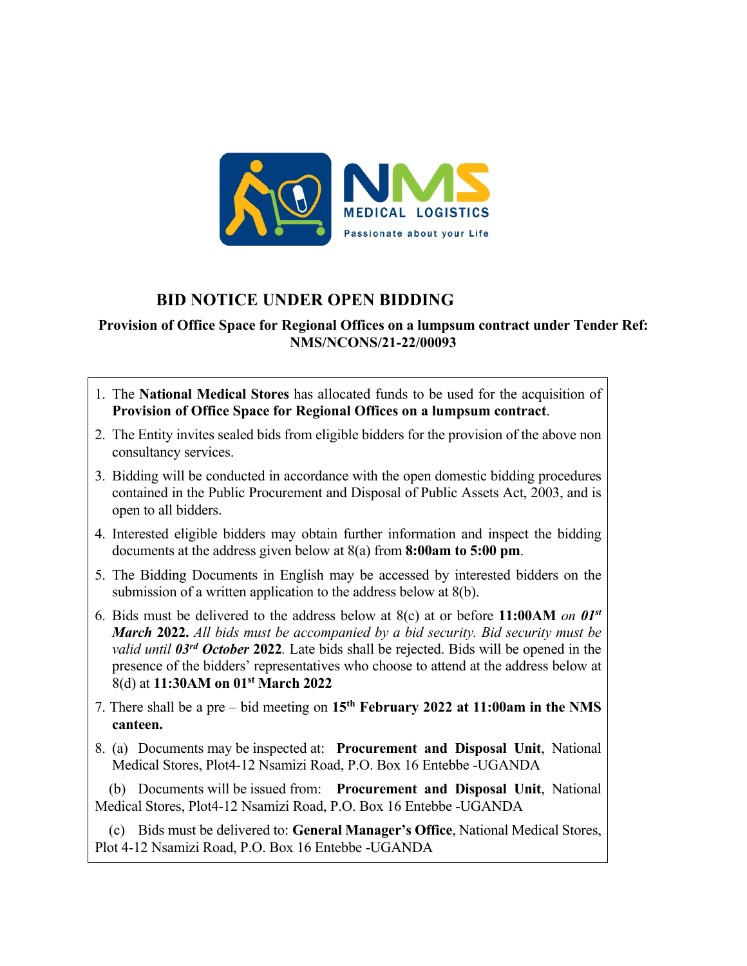

# **BID NOTICE UNDER OPEN BIDDING**

#### **Provision of Office Space for Regional Offices on a lumpsum contract under Tender Ref: NMS/NCONS/21-22/00093**

- 1. The **National Medical Stores** has allocated funds to be used for the acquisition of **Provision of Office Space for Regional Offices on a lumpsum contract**.
- 2. The Entity invites sealed bids from eligible bidders for the provision of the above non consultancy services.
- 3. Bidding will be conducted in accordance with the open domestic bidding procedures contained in the Public Procurement and Disposal of Public Assets Act, 2003, and is open to all bidders.
- 4. Interested eligible bidders may obtain further information and inspect the bidding documents at the address given below at 8(a) from **8:00am to 5:00 pm**.
- 5. The Bidding Documents in English may be accessed by interested bidders on the submission of a written application to the address below at 8(b).
- 6. Bids must be delivered to the address below at 8(c) at or before **11:00AM** *on 01st March* **2022.** *All bids must be accompanied by a bid security. Bid security must be valid until 03rd October* **2022***.* Late bids shall be rejected. Bids will be opened in the presence of the bidders' representatives who choose to attend at the address below at 8(d) at **11:30AM on 01st March 2022**
- 7. There shall be a pre bid meeting on **15th February 2022 at 11:00am in the NMS canteen.**
- 8. (a) Documents may be inspected at: **Procurement and Disposal Unit**, National Medical Stores, Plot4-12 Nsamizi Road, P.O. Box 16 Entebbe -UGANDA

 (b) Documents will be issued from: **Procurement and Disposal Unit**, National Medical Stores, Plot4-12 Nsamizi Road, P.O. Box 16 Entebbe -UGANDA

 (c) Bids must be delivered to: **General Manager's Office**, National Medical Stores, Plot 4-12 Nsamizi Road, P.O. Box 16 Entebbe -UGANDA